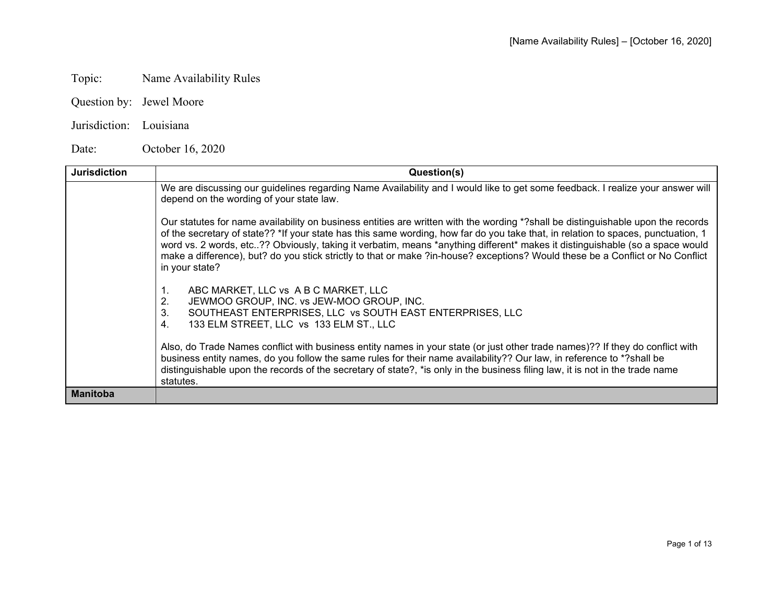# Topic: Name Availability Rules

- Question by: Jewel Moore
- Jurisdiction: Louisiana

Date: October 16, 2020

| <b>Jurisdiction</b> | Question(s)                                                                                                                                                                                                                                                                                                                                                                                                                                                                                                                                               |
|---------------------|-----------------------------------------------------------------------------------------------------------------------------------------------------------------------------------------------------------------------------------------------------------------------------------------------------------------------------------------------------------------------------------------------------------------------------------------------------------------------------------------------------------------------------------------------------------|
|                     | We are discussing our guidelines regarding Name Availability and I would like to get some feedback. I realize your answer will<br>depend on the wording of your state law.                                                                                                                                                                                                                                                                                                                                                                                |
|                     | Our statutes for name availability on business entities are written with the wording *?shall be distinguishable upon the records<br>of the secretary of state?? *If your state has this same wording, how far do you take that, in relation to spaces, punctuation, 1<br>word vs. 2 words, etc?? Obviously, taking it verbatim, means *anything different* makes it distinguishable (so a space would<br>make a difference), but? do you stick strictly to that or make ?in-house? exceptions? Would these be a Conflict or No Conflict<br>in your state? |
|                     | ABC MARKET, LLC vs A B C MARKET, LLC<br>1.<br>JEWMOO GROUP, INC. vs JEW-MOO GROUP, INC.<br>2.<br>SOUTHEAST ENTERPRISES, LLC vs SOUTH EAST ENTERPRISES, LLC<br>3.<br>133 ELM STREET, LLC vs 133 ELM ST., LLC<br>4.                                                                                                                                                                                                                                                                                                                                         |
|                     | Also, do Trade Names conflict with business entity names in your state (or just other trade names)?? If they do conflict with<br>business entity names, do you follow the same rules for their name availability?? Our law, in reference to *?shall be<br>distinguishable upon the records of the secretary of state?, *is only in the business filing law, it is not in the trade name<br>statutes.                                                                                                                                                      |
| <b>Manitoba</b>     |                                                                                                                                                                                                                                                                                                                                                                                                                                                                                                                                                           |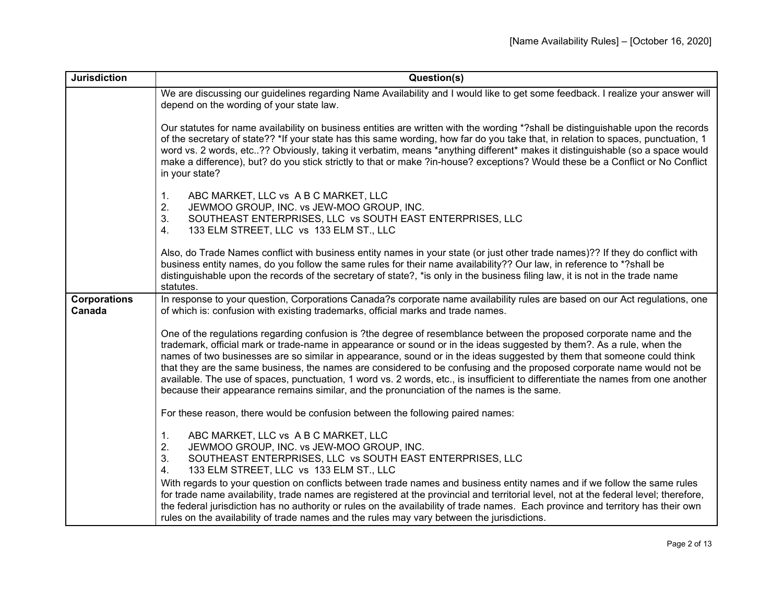| <b>Jurisdiction</b>           | Question(s)                                                                                                                                                                                                                                                                                                                                                                                                                                                                                                                                                                                                                                                                                                                        |
|-------------------------------|------------------------------------------------------------------------------------------------------------------------------------------------------------------------------------------------------------------------------------------------------------------------------------------------------------------------------------------------------------------------------------------------------------------------------------------------------------------------------------------------------------------------------------------------------------------------------------------------------------------------------------------------------------------------------------------------------------------------------------|
|                               | We are discussing our guidelines regarding Name Availability and I would like to get some feedback. I realize your answer will<br>depend on the wording of your state law.                                                                                                                                                                                                                                                                                                                                                                                                                                                                                                                                                         |
|                               | Our statutes for name availability on business entities are written with the wording *?shall be distinguishable upon the records<br>of the secretary of state?? *If your state has this same wording, how far do you take that, in relation to spaces, punctuation, 1<br>word vs. 2 words, etc?? Obviously, taking it verbatim, means *anything different* makes it distinguishable (so a space would<br>make a difference), but? do you stick strictly to that or make ?in-house? exceptions? Would these be a Conflict or No Conflict<br>in your state?                                                                                                                                                                          |
|                               | 1.<br>ABC MARKET, LLC vs A B C MARKET, LLC<br>2.<br>JEWMOO GROUP, INC. vs JEW-MOO GROUP, INC.<br>3.<br>SOUTHEAST ENTERPRISES, LLC vs SOUTH EAST ENTERPRISES, LLC<br>4.<br>133 ELM STREET, LLC vs 133 ELM ST., LLC                                                                                                                                                                                                                                                                                                                                                                                                                                                                                                                  |
|                               | Also, do Trade Names conflict with business entity names in your state (or just other trade names)?? If they do conflict with<br>business entity names, do you follow the same rules for their name availability?? Our law, in reference to *?shall be<br>distinguishable upon the records of the secretary of state?, *is only in the business filing law, it is not in the trade name<br>statutes.                                                                                                                                                                                                                                                                                                                               |
| <b>Corporations</b><br>Canada | In response to your question, Corporations Canada?s corporate name availability rules are based on our Act regulations, one<br>of which is: confusion with existing trademarks, official marks and trade names.                                                                                                                                                                                                                                                                                                                                                                                                                                                                                                                    |
|                               | One of the regulations regarding confusion is ?the degree of resemblance between the proposed corporate name and the<br>trademark, official mark or trade-name in appearance or sound or in the ideas suggested by them?. As a rule, when the<br>names of two businesses are so similar in appearance, sound or in the ideas suggested by them that someone could think<br>that they are the same business, the names are considered to be confusing and the proposed corporate name would not be<br>available. The use of spaces, punctuation, 1 word vs. 2 words, etc., is insufficient to differentiate the names from one another<br>because their appearance remains similar, and the pronunciation of the names is the same. |
|                               | For these reason, there would be confusion between the following paired names:                                                                                                                                                                                                                                                                                                                                                                                                                                                                                                                                                                                                                                                     |
|                               | ABC MARKET, LLC vs A B C MARKET, LLC<br>1.<br>2.<br>JEWMOO GROUP, INC. vs JEW-MOO GROUP, INC.<br>3.<br>SOUTHEAST ENTERPRISES, LLC vs SOUTH EAST ENTERPRISES, LLC<br>133 ELM STREET, LLC vs 133 ELM ST., LLC<br>4.                                                                                                                                                                                                                                                                                                                                                                                                                                                                                                                  |
|                               | With regards to your question on conflicts between trade names and business entity names and if we follow the same rules<br>for trade name availability, trade names are registered at the provincial and territorial level, not at the federal level; therefore,<br>the federal jurisdiction has no authority or rules on the availability of trade names. Each province and territory has their own<br>rules on the availability of trade names and the rules may vary between the jurisdictions.                                                                                                                                                                                                                                |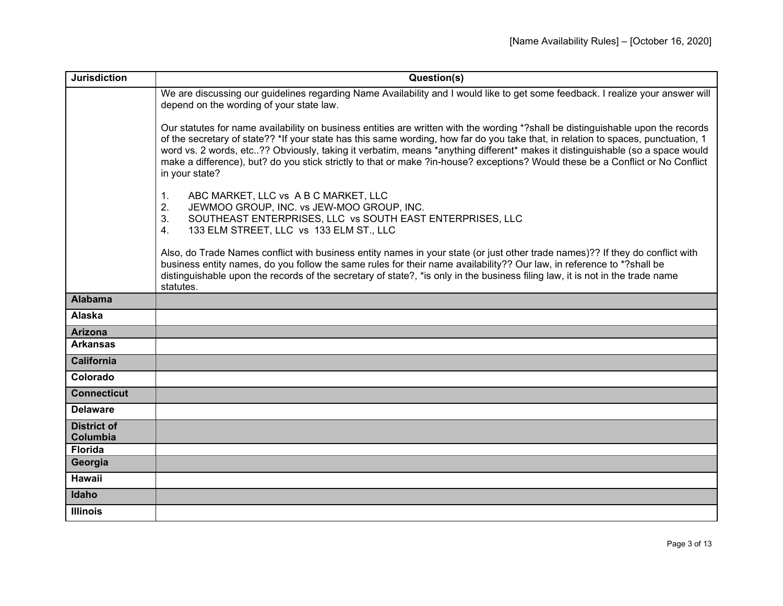| <b>Jurisdiction</b>            | Question(s)                                                                                                                                                                                                                                                                                                                                                                                                                                                                                                                                               |
|--------------------------------|-----------------------------------------------------------------------------------------------------------------------------------------------------------------------------------------------------------------------------------------------------------------------------------------------------------------------------------------------------------------------------------------------------------------------------------------------------------------------------------------------------------------------------------------------------------|
|                                | We are discussing our guidelines regarding Name Availability and I would like to get some feedback. I realize your answer will<br>depend on the wording of your state law.                                                                                                                                                                                                                                                                                                                                                                                |
|                                | Our statutes for name availability on business entities are written with the wording *?shall be distinguishable upon the records<br>of the secretary of state?? *If your state has this same wording, how far do you take that, in relation to spaces, punctuation, 1<br>word vs. 2 words, etc?? Obviously, taking it verbatim, means *anything different* makes it distinguishable (so a space would<br>make a difference), but? do you stick strictly to that or make ?in-house? exceptions? Would these be a Conflict or No Conflict<br>in your state? |
|                                | 1.<br>ABC MARKET, LLC vs A B C MARKET, LLC<br>2.<br>JEWMOO GROUP, INC. vs JEW-MOO GROUP, INC.<br>3.<br>SOUTHEAST ENTERPRISES, LLC vs SOUTH EAST ENTERPRISES, LLC<br>133 ELM STREET, LLC vs 133 ELM ST., LLC<br>4.                                                                                                                                                                                                                                                                                                                                         |
|                                | Also, do Trade Names conflict with business entity names in your state (or just other trade names)?? If they do conflict with<br>business entity names, do you follow the same rules for their name availability?? Our law, in reference to *?shall be<br>distinguishable upon the records of the secretary of state?, *is only in the business filing law, it is not in the trade name<br>statutes.                                                                                                                                                      |
| <b>Alabama</b>                 |                                                                                                                                                                                                                                                                                                                                                                                                                                                                                                                                                           |
| Alaska                         |                                                                                                                                                                                                                                                                                                                                                                                                                                                                                                                                                           |
| <b>Arizona</b>                 |                                                                                                                                                                                                                                                                                                                                                                                                                                                                                                                                                           |
| <b>Arkansas</b>                |                                                                                                                                                                                                                                                                                                                                                                                                                                                                                                                                                           |
| <b>California</b>              |                                                                                                                                                                                                                                                                                                                                                                                                                                                                                                                                                           |
| Colorado                       |                                                                                                                                                                                                                                                                                                                                                                                                                                                                                                                                                           |
| <b>Connecticut</b>             |                                                                                                                                                                                                                                                                                                                                                                                                                                                                                                                                                           |
| <b>Delaware</b>                |                                                                                                                                                                                                                                                                                                                                                                                                                                                                                                                                                           |
| <b>District of</b><br>Columbia |                                                                                                                                                                                                                                                                                                                                                                                                                                                                                                                                                           |
| <b>Florida</b>                 |                                                                                                                                                                                                                                                                                                                                                                                                                                                                                                                                                           |
| Georgia                        |                                                                                                                                                                                                                                                                                                                                                                                                                                                                                                                                                           |
| <b>Hawaii</b>                  |                                                                                                                                                                                                                                                                                                                                                                                                                                                                                                                                                           |
| Idaho                          |                                                                                                                                                                                                                                                                                                                                                                                                                                                                                                                                                           |
| <b>Illinois</b>                |                                                                                                                                                                                                                                                                                                                                                                                                                                                                                                                                                           |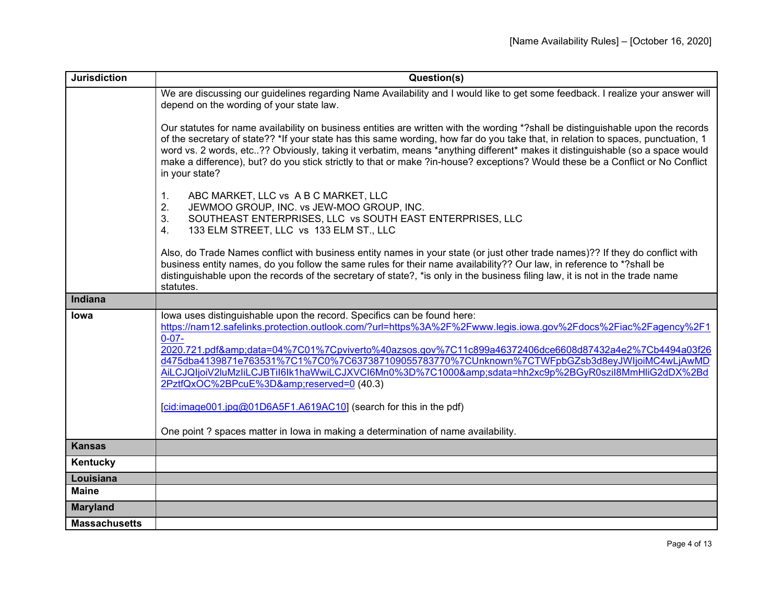| <b>Jurisdiction</b>  | Question(s)                                                                                                                                                                                                                                                                                                                                                                                                                                                                                                                                                                                                                                                                                                        |
|----------------------|--------------------------------------------------------------------------------------------------------------------------------------------------------------------------------------------------------------------------------------------------------------------------------------------------------------------------------------------------------------------------------------------------------------------------------------------------------------------------------------------------------------------------------------------------------------------------------------------------------------------------------------------------------------------------------------------------------------------|
|                      | We are discussing our guidelines regarding Name Availability and I would like to get some feedback. I realize your answer will<br>depend on the wording of your state law.                                                                                                                                                                                                                                                                                                                                                                                                                                                                                                                                         |
|                      | Our statutes for name availability on business entities are written with the wording *?shall be distinguishable upon the records<br>of the secretary of state?? *If your state has this same wording, how far do you take that, in relation to spaces, punctuation, 1<br>word vs. 2 words, etc?? Obviously, taking it verbatim, means *anything different* makes it distinguishable (so a space would<br>make a difference), but? do you stick strictly to that or make ?in-house? exceptions? Would these be a Conflict or No Conflict<br>in your state?                                                                                                                                                          |
|                      | ABC MARKET, LLC vs A B C MARKET, LLC<br>1.<br>JEWMOO GROUP, INC. vs JEW-MOO GROUP, INC.<br>2.<br>3.<br>SOUTHEAST ENTERPRISES, LLC vs SOUTH EAST ENTERPRISES, LLC<br>133 ELM STREET, LLC vs 133 ELM ST., LLC<br>4 <sub>1</sub>                                                                                                                                                                                                                                                                                                                                                                                                                                                                                      |
|                      | Also, do Trade Names conflict with business entity names in your state (or just other trade names)?? If they do conflict with<br>business entity names, do you follow the same rules for their name availability?? Our law, in reference to *?shall be<br>distinguishable upon the records of the secretary of state?, *is only in the business filing law, it is not in the trade name<br>statutes.                                                                                                                                                                                                                                                                                                               |
| Indiana              |                                                                                                                                                                                                                                                                                                                                                                                                                                                                                                                                                                                                                                                                                                                    |
| Iowa                 | lowa uses distinguishable upon the record. Specifics can be found here:<br>https://nam12.safelinks.protection.outlook.com/?url=https%3A%2F%2Fwww.legis.iowa.gov%2Fdocs%2Fiac%2Fagency%2F1<br>$0 - 07 -$<br>2020.721.pdf&data=04%7C01%7Cpviverto%40azsos.gov%7C11c899a46372406dce6608d87432a4e2%7Cb4494a03f26<br>d475dba4139871e763531%7C1%7C0%7C637387109055783770%7CUnknown%7CTWFpbGZsb3d8eyJWljoiMC4wLjAwMD<br>AiLCJQIjoiV2luMzIiLCJBTiI6lk1haWwiLCJXVCI6Mn0%3D%7C1000&sdata=hh2xc9p%2BGyR0szil8MmHliG2dDX%2Bd<br>2PztfQxOC%2BPcuE%3D&reserved=0 (40.3)<br>cid:image001.jpg@01D6A5F1.A619AC10] (search for this in the pdf)<br>One point ? spaces matter in lowa in making a determination of name availability. |
| <b>Kansas</b>        |                                                                                                                                                                                                                                                                                                                                                                                                                                                                                                                                                                                                                                                                                                                    |
| Kentucky             |                                                                                                                                                                                                                                                                                                                                                                                                                                                                                                                                                                                                                                                                                                                    |
| Louisiana            |                                                                                                                                                                                                                                                                                                                                                                                                                                                                                                                                                                                                                                                                                                                    |
| <b>Maine</b>         |                                                                                                                                                                                                                                                                                                                                                                                                                                                                                                                                                                                                                                                                                                                    |
| <b>Maryland</b>      |                                                                                                                                                                                                                                                                                                                                                                                                                                                                                                                                                                                                                                                                                                                    |
| <b>Massachusetts</b> |                                                                                                                                                                                                                                                                                                                                                                                                                                                                                                                                                                                                                                                                                                                    |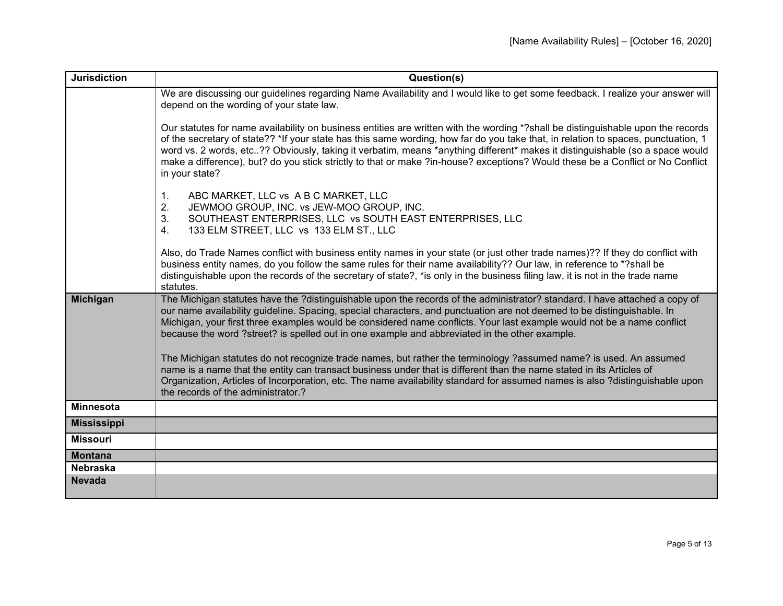| <b>Jurisdiction</b> | Question(s)                                                                                                                                                                                                                                                                                                                                                                                                                                                                                                                                               |
|---------------------|-----------------------------------------------------------------------------------------------------------------------------------------------------------------------------------------------------------------------------------------------------------------------------------------------------------------------------------------------------------------------------------------------------------------------------------------------------------------------------------------------------------------------------------------------------------|
|                     | We are discussing our guidelines regarding Name Availability and I would like to get some feedback. I realize your answer will<br>depend on the wording of your state law.                                                                                                                                                                                                                                                                                                                                                                                |
|                     | Our statutes for name availability on business entities are written with the wording *?shall be distinguishable upon the records<br>of the secretary of state?? *If your state has this same wording, how far do you take that, in relation to spaces, punctuation, 1<br>word vs. 2 words, etc?? Obviously, taking it verbatim, means *anything different* makes it distinguishable (so a space would<br>make a difference), but? do you stick strictly to that or make ?in-house? exceptions? Would these be a Conflict or No Conflict<br>in your state? |
|                     | ABC MARKET, LLC vs A B C MARKET, LLC<br>$\mathbf{1}$ .<br>2.<br>JEWMOO GROUP, INC. vs JEW-MOO GROUP, INC.<br>3.<br>SOUTHEAST ENTERPRISES, LLC vs SOUTH EAST ENTERPRISES, LLC<br>133 ELM STREET, LLC vs 133 ELM ST., LLC<br>4 <sub>1</sub>                                                                                                                                                                                                                                                                                                                 |
|                     | Also, do Trade Names conflict with business entity names in your state (or just other trade names)?? If they do conflict with<br>business entity names, do you follow the same rules for their name availability?? Our law, in reference to *?shall be<br>distinguishable upon the records of the secretary of state?, *is only in the business filing law, it is not in the trade name<br>statutes.                                                                                                                                                      |
| <b>Michigan</b>     | The Michigan statutes have the ?distinguishable upon the records of the administrator? standard. I have attached a copy of<br>our name availability guideline. Spacing, special characters, and punctuation are not deemed to be distinguishable. In<br>Michigan, your first three examples would be considered name conflicts. Your last example would not be a name conflict<br>because the word ?street? is spelled out in one example and abbreviated in the other example.                                                                           |
|                     | The Michigan statutes do not recognize trade names, but rather the terminology ?assumed name? is used. An assumed<br>name is a name that the entity can transact business under that is different than the name stated in its Articles of<br>Organization, Articles of Incorporation, etc. The name availability standard for assumed names is also ?distinguishable upon<br>the records of the administrator.?                                                                                                                                           |
| <b>Minnesota</b>    |                                                                                                                                                                                                                                                                                                                                                                                                                                                                                                                                                           |
| <b>Mississippi</b>  |                                                                                                                                                                                                                                                                                                                                                                                                                                                                                                                                                           |
| <b>Missouri</b>     |                                                                                                                                                                                                                                                                                                                                                                                                                                                                                                                                                           |
| <b>Montana</b>      |                                                                                                                                                                                                                                                                                                                                                                                                                                                                                                                                                           |
| <b>Nebraska</b>     |                                                                                                                                                                                                                                                                                                                                                                                                                                                                                                                                                           |
| <b>Nevada</b>       |                                                                                                                                                                                                                                                                                                                                                                                                                                                                                                                                                           |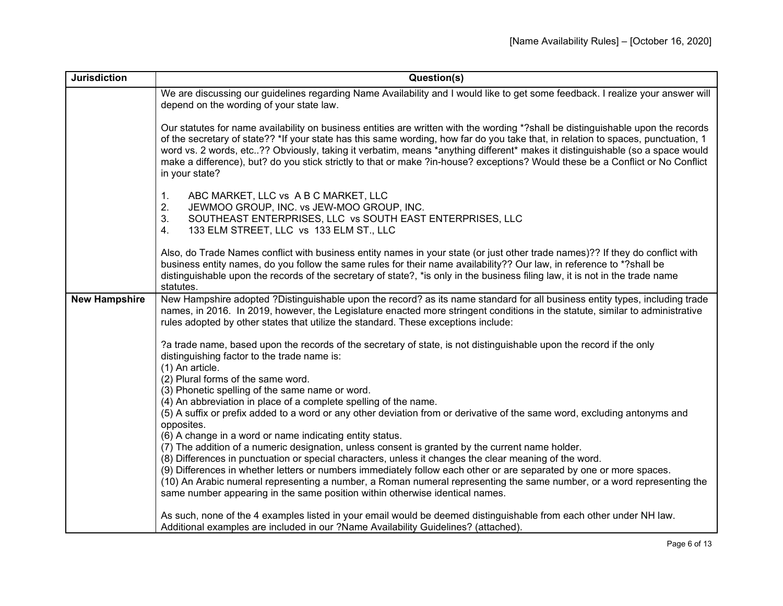| <b>Jurisdiction</b>  | Question(s)                                                                                                                                                                                                                                                                                                                                                                                                                                                                                                                                               |
|----------------------|-----------------------------------------------------------------------------------------------------------------------------------------------------------------------------------------------------------------------------------------------------------------------------------------------------------------------------------------------------------------------------------------------------------------------------------------------------------------------------------------------------------------------------------------------------------|
|                      | We are discussing our guidelines regarding Name Availability and I would like to get some feedback. I realize your answer will<br>depend on the wording of your state law.                                                                                                                                                                                                                                                                                                                                                                                |
|                      | Our statutes for name availability on business entities are written with the wording *?shall be distinguishable upon the records<br>of the secretary of state?? *If your state has this same wording, how far do you take that, in relation to spaces, punctuation, 1<br>word vs. 2 words, etc?? Obviously, taking it verbatim, means *anything different* makes it distinguishable (so a space would<br>make a difference), but? do you stick strictly to that or make ?in-house? exceptions? Would these be a Conflict or No Conflict<br>in your state? |
|                      | 1.<br>ABC MARKET, LLC vs A B C MARKET, LLC<br>2.<br>JEWMOO GROUP, INC. vs JEW-MOO GROUP, INC.<br>3.<br>SOUTHEAST ENTERPRISES, LLC vs SOUTH EAST ENTERPRISES, LLC<br>133 ELM STREET, LLC vs 133 ELM ST., LLC<br>4.                                                                                                                                                                                                                                                                                                                                         |
|                      | Also, do Trade Names conflict with business entity names in your state (or just other trade names)?? If they do conflict with<br>business entity names, do you follow the same rules for their name availability?? Our law, in reference to *?shall be<br>distinguishable upon the records of the secretary of state?, *is only in the business filing law, it is not in the trade name<br>statutes.                                                                                                                                                      |
| <b>New Hampshire</b> | New Hampshire adopted ?Distinguishable upon the record? as its name standard for all business entity types, including trade<br>names, in 2016. In 2019, however, the Legislature enacted more stringent conditions in the statute, similar to administrative<br>rules adopted by other states that utilize the standard. These exceptions include:                                                                                                                                                                                                        |
|                      | ?a trade name, based upon the records of the secretary of state, is not distinguishable upon the record if the only<br>distinguishing factor to the trade name is:<br>(1) An article.<br>(2) Plural forms of the same word.<br>(3) Phonetic spelling of the same name or word.<br>(4) An abbreviation in place of a complete spelling of the name.                                                                                                                                                                                                        |
|                      | (5) A suffix or prefix added to a word or any other deviation from or derivative of the same word, excluding antonyms and<br>opposites.<br>(6) A change in a word or name indicating entity status.                                                                                                                                                                                                                                                                                                                                                       |
|                      | (7) The addition of a numeric designation, unless consent is granted by the current name holder.                                                                                                                                                                                                                                                                                                                                                                                                                                                          |
|                      | (8) Differences in punctuation or special characters, unless it changes the clear meaning of the word.                                                                                                                                                                                                                                                                                                                                                                                                                                                    |
|                      | (9) Differences in whether letters or numbers immediately follow each other or are separated by one or more spaces.<br>(10) An Arabic numeral representing a number, a Roman numeral representing the same number, or a word representing the<br>same number appearing in the same position within otherwise identical names.                                                                                                                                                                                                                             |
|                      | As such, none of the 4 examples listed in your email would be deemed distinguishable from each other under NH law.<br>Additional examples are included in our ?Name Availability Guidelines? (attached).                                                                                                                                                                                                                                                                                                                                                  |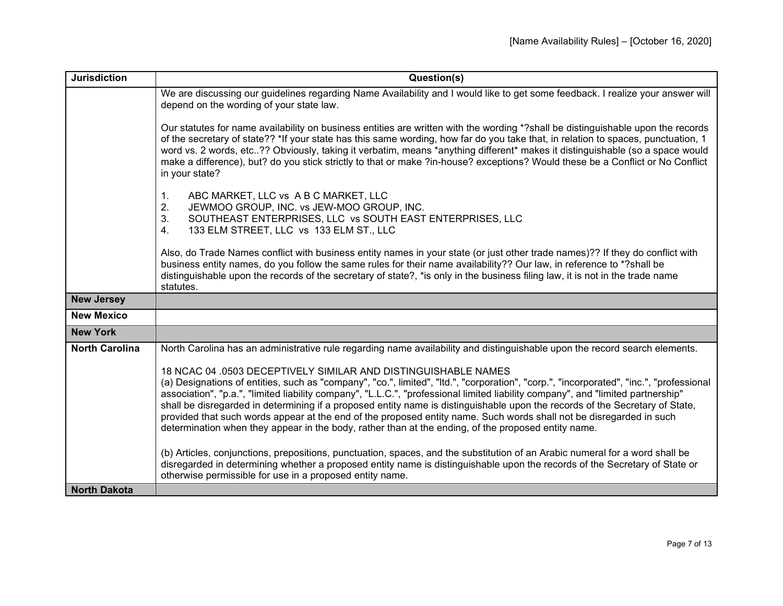| <b>Jurisdiction</b>   | Question(s)                                                                                                                                                                                                                                                                                                                                                                                                                                                                                                                                                                                                                                                                                                 |
|-----------------------|-------------------------------------------------------------------------------------------------------------------------------------------------------------------------------------------------------------------------------------------------------------------------------------------------------------------------------------------------------------------------------------------------------------------------------------------------------------------------------------------------------------------------------------------------------------------------------------------------------------------------------------------------------------------------------------------------------------|
|                       | We are discussing our guidelines regarding Name Availability and I would like to get some feedback. I realize your answer will<br>depend on the wording of your state law.                                                                                                                                                                                                                                                                                                                                                                                                                                                                                                                                  |
|                       | Our statutes for name availability on business entities are written with the wording *?shall be distinguishable upon the records<br>of the secretary of state?? *If your state has this same wording, how far do you take that, in relation to spaces, punctuation, 1<br>word vs. 2 words, etc?? Obviously, taking it verbatim, means *anything different* makes it distinguishable (so a space would<br>make a difference), but? do you stick strictly to that or make ?in-house? exceptions? Would these be a Conflict or No Conflict<br>in your state?                                                                                                                                                   |
|                       | ABC MARKET, LLC vs A B C MARKET, LLC<br>1.<br>2.<br>JEWMOO GROUP, INC. vs JEW-MOO GROUP, INC.<br>3.<br>SOUTHEAST ENTERPRISES, LLC vs SOUTH EAST ENTERPRISES, LLC<br>133 ELM STREET, LLC vs 133 ELM ST., LLC<br>4.                                                                                                                                                                                                                                                                                                                                                                                                                                                                                           |
|                       | Also, do Trade Names conflict with business entity names in your state (or just other trade names)?? If they do conflict with<br>business entity names, do you follow the same rules for their name availability?? Our law, in reference to *?shall be<br>distinguishable upon the records of the secretary of state?, *is only in the business filing law, it is not in the trade name<br>statutes.                                                                                                                                                                                                                                                                                                        |
| <b>New Jersey</b>     |                                                                                                                                                                                                                                                                                                                                                                                                                                                                                                                                                                                                                                                                                                             |
| <b>New Mexico</b>     |                                                                                                                                                                                                                                                                                                                                                                                                                                                                                                                                                                                                                                                                                                             |
| <b>New York</b>       |                                                                                                                                                                                                                                                                                                                                                                                                                                                                                                                                                                                                                                                                                                             |
| <b>North Carolina</b> | North Carolina has an administrative rule regarding name availability and distinguishable upon the record search elements.                                                                                                                                                                                                                                                                                                                                                                                                                                                                                                                                                                                  |
|                       | 18 NCAC 04 .0503 DECEPTIVELY SIMILAR AND DISTINGUISHABLE NAMES<br>(a) Designations of entities, such as "company", "co.", limited", "Itd.", "corporation", "corp.", "incorporated", "inc.", "professional<br>association", "p.a.", "limited liability company", "L.L.C.", "professional limited liability company", and "limited partnership"<br>shall be disregarded in determining if a proposed entity name is distinguishable upon the records of the Secretary of State,<br>provided that such words appear at the end of the proposed entity name. Such words shall not be disregarded in such<br>determination when they appear in the body, rather than at the ending, of the proposed entity name. |
|                       | (b) Articles, conjunctions, prepositions, punctuation, spaces, and the substitution of an Arabic numeral for a word shall be<br>disregarded in determining whether a proposed entity name is distinguishable upon the records of the Secretary of State or<br>otherwise permissible for use in a proposed entity name.                                                                                                                                                                                                                                                                                                                                                                                      |
| <b>North Dakota</b>   |                                                                                                                                                                                                                                                                                                                                                                                                                                                                                                                                                                                                                                                                                                             |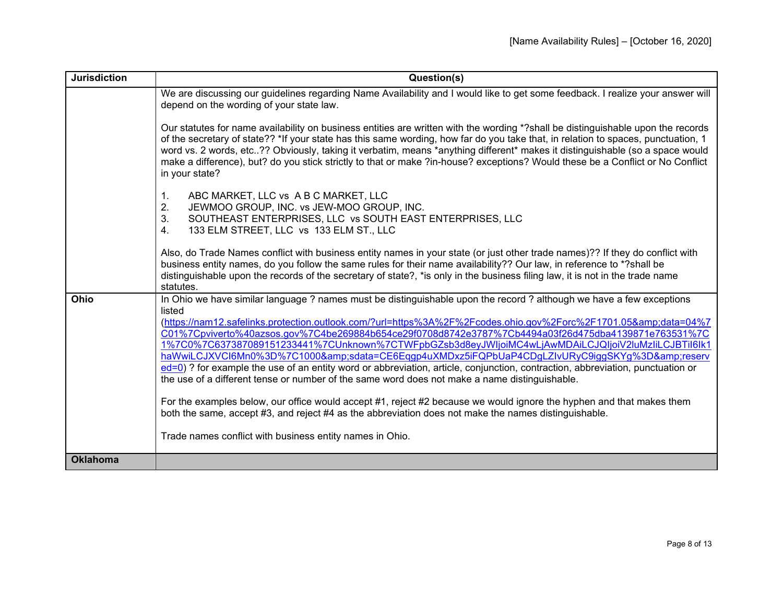| <b>Jurisdiction</b> | Question(s)                                                                                                                                                                                                                                                                                                                                                                                                                                                                                                                                                                                                                                                                                                                                                                             |
|---------------------|-----------------------------------------------------------------------------------------------------------------------------------------------------------------------------------------------------------------------------------------------------------------------------------------------------------------------------------------------------------------------------------------------------------------------------------------------------------------------------------------------------------------------------------------------------------------------------------------------------------------------------------------------------------------------------------------------------------------------------------------------------------------------------------------|
|                     | We are discussing our guidelines regarding Name Availability and I would like to get some feedback. I realize your answer will<br>depend on the wording of your state law.                                                                                                                                                                                                                                                                                                                                                                                                                                                                                                                                                                                                              |
|                     | Our statutes for name availability on business entities are written with the wording *?shall be distinguishable upon the records<br>of the secretary of state?? *If your state has this same wording, how far do you take that, in relation to spaces, punctuation, 1<br>word vs. 2 words, etc?? Obviously, taking it verbatim, means *anything different* makes it distinguishable (so a space would<br>make a difference), but? do you stick strictly to that or make ?in-house? exceptions? Would these be a Conflict or No Conflict<br>in your state?                                                                                                                                                                                                                               |
|                     | ABC MARKET, LLC vs A B C MARKET, LLC<br>1.<br>2.<br>JEWMOO GROUP, INC. vs JEW-MOO GROUP, INC.<br>3.<br>SOUTHEAST ENTERPRISES, LLC vs SOUTH EAST ENTERPRISES, LLC<br>133 ELM STREET, LLC vs 133 ELM ST., LLC<br>4 <sub>1</sub>                                                                                                                                                                                                                                                                                                                                                                                                                                                                                                                                                           |
|                     | Also, do Trade Names conflict with business entity names in your state (or just other trade names)?? If they do conflict with<br>business entity names, do you follow the same rules for their name availability?? Our law, in reference to *?shall be<br>distinguishable upon the records of the secretary of state?, *is only in the business filing law, it is not in the trade name<br>statutes.                                                                                                                                                                                                                                                                                                                                                                                    |
| Ohio                | In Ohio we have similar language ? names must be distinguishable upon the record ? although we have a few exceptions<br>listed<br>(https://nam12.safelinks.protection.outlook.com/?url=https%3A%2F%2Fcodes.ohio.gov%2Forc%2F1701.05&data=04%7<br>C01%7Cpviverto%40azsos.gov%7C4be269884b654ce29f0708d8742e3787%7Cb4494a03f26d475dba4139871e763531%7C<br>1%7C0%7C637387089151233441%7CUnknown%7CTWFpbGZsb3d8eyJWIjoiMC4wLjAwMDAiLCJQIjoiV2luMzliLCJBTil6lk1<br>haWwiLCJXVCI6Mn0%3D%7C1000&sdata=CE6Eqqp4uXMDxz5iFQPbUaP4CDgLZIvURyC9iqqSKYq%3D&reserv<br>ed=0) ? for example the use of an entity word or abbreviation, article, conjunction, contraction, abbreviation, punctuation or<br>the use of a different tense or number of the same word does not make a name distinguishable. |
|                     | For the examples below, our office would accept #1, reject #2 because we would ignore the hyphen and that makes them<br>both the same, accept #3, and reject #4 as the abbreviation does not make the names distinguishable.                                                                                                                                                                                                                                                                                                                                                                                                                                                                                                                                                            |
|                     | Trade names conflict with business entity names in Ohio.                                                                                                                                                                                                                                                                                                                                                                                                                                                                                                                                                                                                                                                                                                                                |
| <b>Oklahoma</b>     |                                                                                                                                                                                                                                                                                                                                                                                                                                                                                                                                                                                                                                                                                                                                                                                         |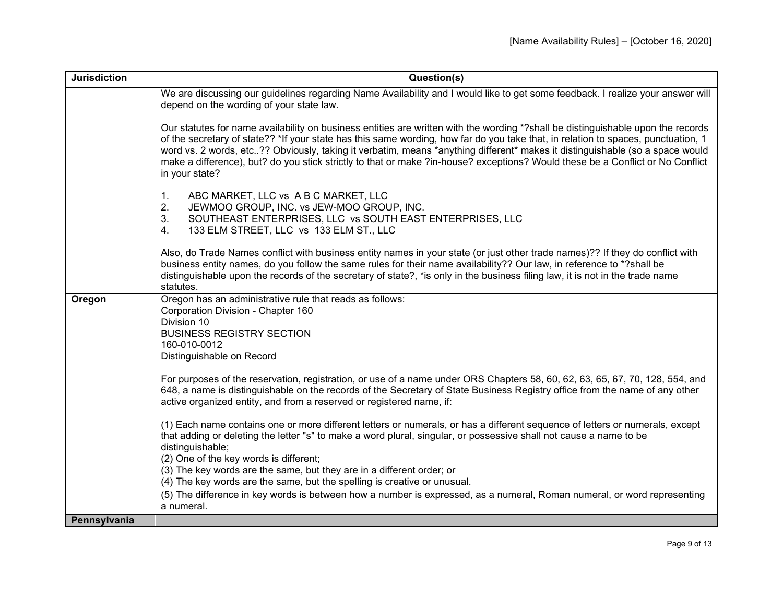| <b>Jurisdiction</b> | Question(s)                                                                                                                                                                                                                                                                                                                                                                                                                                                                                                                                                                                                                                                           |
|---------------------|-----------------------------------------------------------------------------------------------------------------------------------------------------------------------------------------------------------------------------------------------------------------------------------------------------------------------------------------------------------------------------------------------------------------------------------------------------------------------------------------------------------------------------------------------------------------------------------------------------------------------------------------------------------------------|
|                     | We are discussing our guidelines regarding Name Availability and I would like to get some feedback. I realize your answer will<br>depend on the wording of your state law.                                                                                                                                                                                                                                                                                                                                                                                                                                                                                            |
|                     | Our statutes for name availability on business entities are written with the wording *?shall be distinguishable upon the records<br>of the secretary of state?? *If your state has this same wording, how far do you take that, in relation to spaces, punctuation, 1<br>word vs. 2 words, etc?? Obviously, taking it verbatim, means *anything different* makes it distinguishable (so a space would<br>make a difference), but? do you stick strictly to that or make ?in-house? exceptions? Would these be a Conflict or No Conflict<br>in your state?                                                                                                             |
|                     | ABC MARKET, LLC vs A B C MARKET, LLC<br>1 <sub>1</sub><br>2.<br>JEWMOO GROUP, INC. vs JEW-MOO GROUP, INC.<br>SOUTHEAST ENTERPRISES, LLC vs SOUTH EAST ENTERPRISES, LLC<br>3.<br>4.<br>133 ELM STREET, LLC vs 133 ELM ST., LLC                                                                                                                                                                                                                                                                                                                                                                                                                                         |
|                     | Also, do Trade Names conflict with business entity names in your state (or just other trade names)?? If they do conflict with<br>business entity names, do you follow the same rules for their name availability?? Our law, in reference to *?shall be<br>distinguishable upon the records of the secretary of state?, *is only in the business filing law, it is not in the trade name<br>statutes.                                                                                                                                                                                                                                                                  |
| Oregon              | Oregon has an administrative rule that reads as follows:<br>Corporation Division - Chapter 160<br>Division 10<br><b>BUSINESS REGISTRY SECTION</b><br>160-010-0012<br>Distinguishable on Record<br>For purposes of the reservation, registration, or use of a name under ORS Chapters 58, 60, 62, 63, 65, 67, 70, 128, 554, and<br>648, a name is distinguishable on the records of the Secretary of State Business Registry office from the name of any other<br>active organized entity, and from a reserved or registered name, if:<br>(1) Each name contains one or more different letters or numerals, or has a different sequence of letters or numerals, except |
|                     | that adding or deleting the letter "s" to make a word plural, singular, or possessive shall not cause a name to be<br>distinguishable;<br>(2) One of the key words is different;<br>(3) The key words are the same, but they are in a different order; or<br>(4) The key words are the same, but the spelling is creative or unusual.<br>(5) The difference in key words is between how a number is expressed, as a numeral, Roman numeral, or word representing<br>a numeral.                                                                                                                                                                                        |
| Pennsylvania        |                                                                                                                                                                                                                                                                                                                                                                                                                                                                                                                                                                                                                                                                       |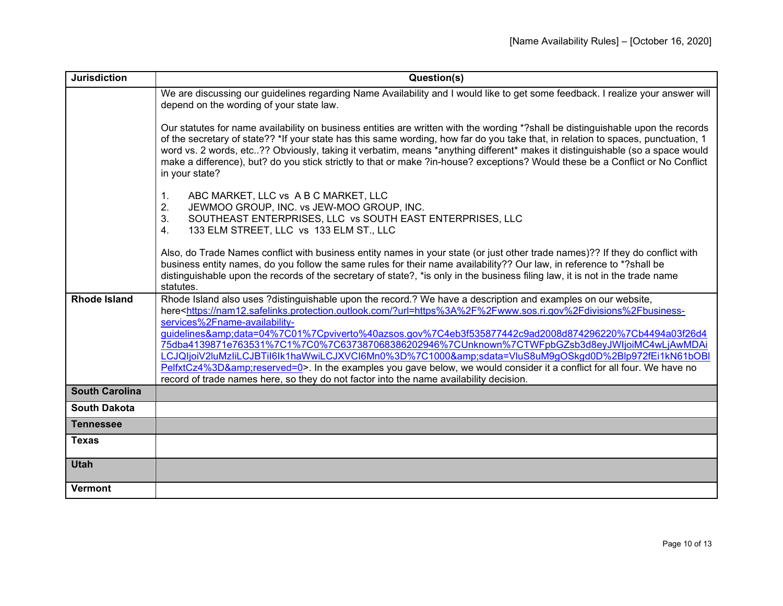| <b>Jurisdiction</b>   | Question(s)                                                                                                                                                                                                                                                                                                                                                                                                                                                                                                                                                                                                                                                                                                                                                                                                                   |
|-----------------------|-------------------------------------------------------------------------------------------------------------------------------------------------------------------------------------------------------------------------------------------------------------------------------------------------------------------------------------------------------------------------------------------------------------------------------------------------------------------------------------------------------------------------------------------------------------------------------------------------------------------------------------------------------------------------------------------------------------------------------------------------------------------------------------------------------------------------------|
|                       | We are discussing our guidelines regarding Name Availability and I would like to get some feedback. I realize your answer will<br>depend on the wording of your state law.                                                                                                                                                                                                                                                                                                                                                                                                                                                                                                                                                                                                                                                    |
|                       | Our statutes for name availability on business entities are written with the wording *?shall be distinguishable upon the records<br>of the secretary of state?? *If your state has this same wording, how far do you take that, in relation to spaces, punctuation, 1<br>word vs. 2 words, etc?? Obviously, taking it verbatim, means *anything different* makes it distinguishable (so a space would<br>make a difference), but? do you stick strictly to that or make ?in-house? exceptions? Would these be a Conflict or No Conflict<br>in your state?                                                                                                                                                                                                                                                                     |
|                       | ABC MARKET, LLC vs A B C MARKET, LLC<br>1.<br>2.<br>JEWMOO GROUP, INC. vs JEW-MOO GROUP, INC.<br>3.<br>SOUTHEAST ENTERPRISES, LLC vs SOUTH EAST ENTERPRISES, LLC<br>133 ELM STREET, LLC vs 133 ELM ST., LLC<br>4.                                                                                                                                                                                                                                                                                                                                                                                                                                                                                                                                                                                                             |
|                       | Also, do Trade Names conflict with business entity names in your state (or just other trade names)?? If they do conflict with<br>business entity names, do you follow the same rules for their name availability?? Our law, in reference to *?shall be<br>distinguishable upon the records of the secretary of state?, *is only in the business filing law, it is not in the trade name<br>statutes.                                                                                                                                                                                                                                                                                                                                                                                                                          |
| <b>Rhode Island</b>   | Rhode Island also uses ?distinguishable upon the record.? We have a description and examples on our website,<br>here <https: ?url="https%3A%2F%2Fwww.sos.ri.gov%2Fdivisions%2Fbusiness-&lt;br" nam12.safelinks.protection.outlook.com="">services%2Fname-availability-<br/>guidelines&amp;data=04%7C01%7Cpviverto%40azsos.gov%7C4eb3f535877442c9ad2008d874296220%7Cb4494a03f26d4<br/>75dba4139871e763531%7C1%7C0%7C637387068386202946%7CUnknown%7CTWFpbGZsb3d8eyJWljoiMC4wLjAwMDAi<br/>LCJQIjoiV2luMzIiLCJBTiI6lk1haWwiLCJXVCI6Mn0%3D%7C1000&amp;sdata=VluS8uM9qOSkgd0D%2Blp972fEi1kN61bOBl<br/>PelfxtCz4%3D&amp;reserved=0&gt;. In the examples you gave below, we would consider it a conflict for all four. We have no<br/>record of trade names here, so they do not factor into the name availability decision.</https:> |
| <b>South Carolina</b> |                                                                                                                                                                                                                                                                                                                                                                                                                                                                                                                                                                                                                                                                                                                                                                                                                               |
| <b>South Dakota</b>   |                                                                                                                                                                                                                                                                                                                                                                                                                                                                                                                                                                                                                                                                                                                                                                                                                               |
| <b>Tennessee</b>      |                                                                                                                                                                                                                                                                                                                                                                                                                                                                                                                                                                                                                                                                                                                                                                                                                               |
| <b>Texas</b>          |                                                                                                                                                                                                                                                                                                                                                                                                                                                                                                                                                                                                                                                                                                                                                                                                                               |
| <b>Utah</b>           |                                                                                                                                                                                                                                                                                                                                                                                                                                                                                                                                                                                                                                                                                                                                                                                                                               |
| <b>Vermont</b>        |                                                                                                                                                                                                                                                                                                                                                                                                                                                                                                                                                                                                                                                                                                                                                                                                                               |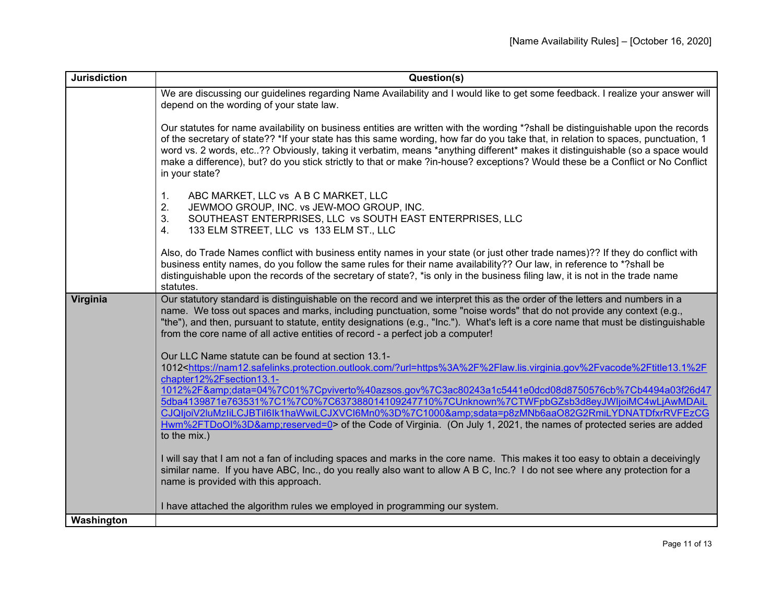| <b>Jurisdiction</b> | Question(s)                                                                                                                                                                                                                                                                                                                                                                                                                                                                                                                                                |
|---------------------|------------------------------------------------------------------------------------------------------------------------------------------------------------------------------------------------------------------------------------------------------------------------------------------------------------------------------------------------------------------------------------------------------------------------------------------------------------------------------------------------------------------------------------------------------------|
|                     | We are discussing our guidelines regarding Name Availability and I would like to get some feedback. I realize your answer will<br>depend on the wording of your state law.                                                                                                                                                                                                                                                                                                                                                                                 |
|                     | Our statutes for name availability on business entities are written with the wording *? shall be distinguishable upon the records<br>of the secretary of state?? *If your state has this same wording, how far do you take that, in relation to spaces, punctuation, 1<br>word vs. 2 words, etc?? Obviously, taking it verbatim, means *anything different* makes it distinguishable (so a space would<br>make a difference), but? do you stick strictly to that or make ?in-house? exceptions? Would these be a Conflict or No Conflict<br>in your state? |
|                     | ABC MARKET, LLC vs A B C MARKET, LLC<br>$\mathbf{1}$ .<br>2.<br>JEWMOO GROUP, INC. vs JEW-MOO GROUP, INC.<br>3.<br>SOUTHEAST ENTERPRISES, LLC vs SOUTH EAST ENTERPRISES, LLC<br>4.<br>133 ELM STREET, LLC vs 133 ELM ST., LLC                                                                                                                                                                                                                                                                                                                              |
|                     | Also, do Trade Names conflict with business entity names in your state (or just other trade names)?? If they do conflict with<br>business entity names, do you follow the same rules for their name availability?? Our law, in reference to *?shall be<br>distinguishable upon the records of the secretary of state?, *is only in the business filing law, it is not in the trade name<br>statutes.                                                                                                                                                       |
| Virginia            | Our statutory standard is distinguishable on the record and we interpret this as the order of the letters and numbers in a<br>name. We toss out spaces and marks, including punctuation, some "noise words" that do not provide any context (e.g.,<br>"the"), and then, pursuant to statute, entity designations (e.g., "Inc."). What's left is a core name that must be distinguishable<br>from the core name of all active entities of record - a perfect job a computer!                                                                                |
|                     | Our LLC Name statute can be found at section 13.1-                                                                                                                                                                                                                                                                                                                                                                                                                                                                                                         |
|                     | 1012 <https: ?url="https%3A%2F%2Flaw.lis.virginia.gov%2Fvacode%2Ftitle13.1%2F&lt;br" nam12.safelinks.protection.outlook.com="">chapter12%2Fsection13.1-</https:>                                                                                                                                                                                                                                                                                                                                                                                           |
|                     | 1012%2F&data=04%7C01%7Cpviverto%40azsos.gov%7C3ac80243a1c5441e0dcd08d8750576cb%7Cb4494a03f26d47                                                                                                                                                                                                                                                                                                                                                                                                                                                            |
|                     | 5dba4139871e763531%7C1%7C0%7C637388014109247710%7CUnknown%7CTWFpbGZsb3d8eyJWljoiMC4wLjAwMDAiL<br>CJQljoiV2luMzliLCJBTil6lk1haWwiLCJXVCl6Mn0%3D%7C1000&sdata=p8zMNb6aaO82G2RmiLYDNATDfxrRVFEzCG                                                                                                                                                                                                                                                                                                                                                             |
|                     | Hwm%2FTDoOI%3D&reserved=0> of the Code of Virginia. (On July 1, 2021, the names of protected series are added<br>to the mix.)                                                                                                                                                                                                                                                                                                                                                                                                                              |
|                     | I will say that I am not a fan of including spaces and marks in the core name. This makes it too easy to obtain a deceivingly<br>similar name. If you have ABC, Inc., do you really also want to allow A B C, Inc.? I do not see where any protection for a<br>name is provided with this approach.                                                                                                                                                                                                                                                        |
|                     | I have attached the algorithm rules we employed in programming our system.                                                                                                                                                                                                                                                                                                                                                                                                                                                                                 |
| Washington          |                                                                                                                                                                                                                                                                                                                                                                                                                                                                                                                                                            |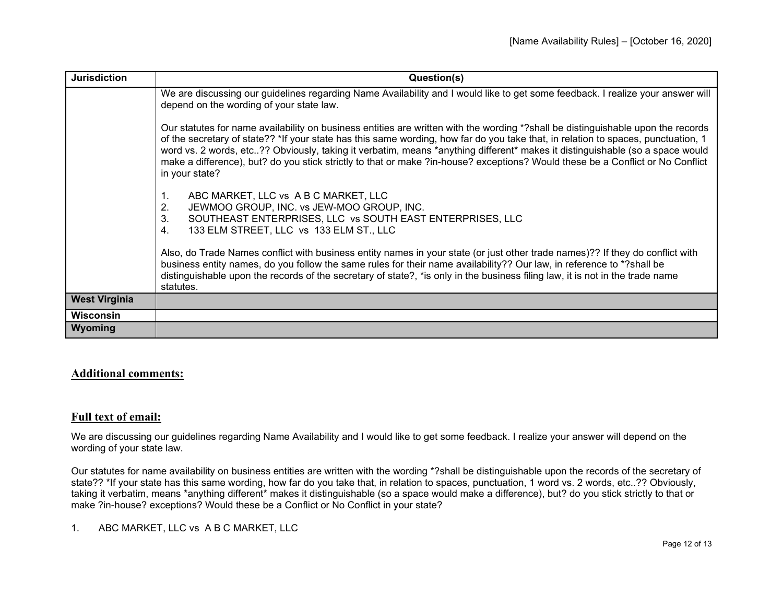| <b>Jurisdiction</b>  | Question(s)                                                                                                                                                                                                                                                                                                                                                                                                                                                                                                                                               |
|----------------------|-----------------------------------------------------------------------------------------------------------------------------------------------------------------------------------------------------------------------------------------------------------------------------------------------------------------------------------------------------------------------------------------------------------------------------------------------------------------------------------------------------------------------------------------------------------|
|                      | We are discussing our guidelines regarding Name Availability and I would like to get some feedback. I realize your answer will<br>depend on the wording of your state law.                                                                                                                                                                                                                                                                                                                                                                                |
|                      | Our statutes for name availability on business entities are written with the wording *?shall be distinguishable upon the records<br>of the secretary of state?? *If your state has this same wording, how far do you take that, in relation to spaces, punctuation, 1<br>word vs. 2 words, etc?? Obviously, taking it verbatim, means *anything different* makes it distinguishable (so a space would<br>make a difference), but? do you stick strictly to that or make ?in-house? exceptions? Would these be a Conflict or No Conflict<br>in your state? |
|                      | ABC MARKET, LLC vs A B C MARKET, LLC<br>1.<br>2.<br>JEWMOO GROUP, INC. vs JEW-MOO GROUP, INC.<br>SOUTHEAST ENTERPRISES, LLC vs SOUTH EAST ENTERPRISES, LLC<br>3.<br>133 ELM STREET, LLC vs 133 ELM ST., LLC<br>4.                                                                                                                                                                                                                                                                                                                                         |
|                      | Also, do Trade Names conflict with business entity names in your state (or just other trade names)?? If they do conflict with<br>business entity names, do you follow the same rules for their name availability?? Our law, in reference to *?shall be<br>distinguishable upon the records of the secretary of state?, *is only in the business filing law, it is not in the trade name<br>statutes.                                                                                                                                                      |
| <b>West Virginia</b> |                                                                                                                                                                                                                                                                                                                                                                                                                                                                                                                                                           |
| <b>Wisconsin</b>     |                                                                                                                                                                                                                                                                                                                                                                                                                                                                                                                                                           |
| Wyoming              |                                                                                                                                                                                                                                                                                                                                                                                                                                                                                                                                                           |

## **Additional comments:**

### **Full text of email:**

We are discussing our guidelines regarding Name Availability and I would like to get some feedback. I realize your answer will depend on the wording of your state law.

Our statutes for name availability on business entities are written with the wording \*?shall be distinguishable upon the records of the secretary of state?? \*If your state has this same wording, how far do you take that, in relation to spaces, punctuation, 1 word vs. 2 words, etc..?? Obviously, taking it verbatim, means \*anything different\* makes it distinguishable (so a space would make a difference), but? do you stick strictly to that or make ?in-house? exceptions? Would these be a Conflict or No Conflict in your state?

1. ABC MARKET, LLC vs A B C MARKET, LLC